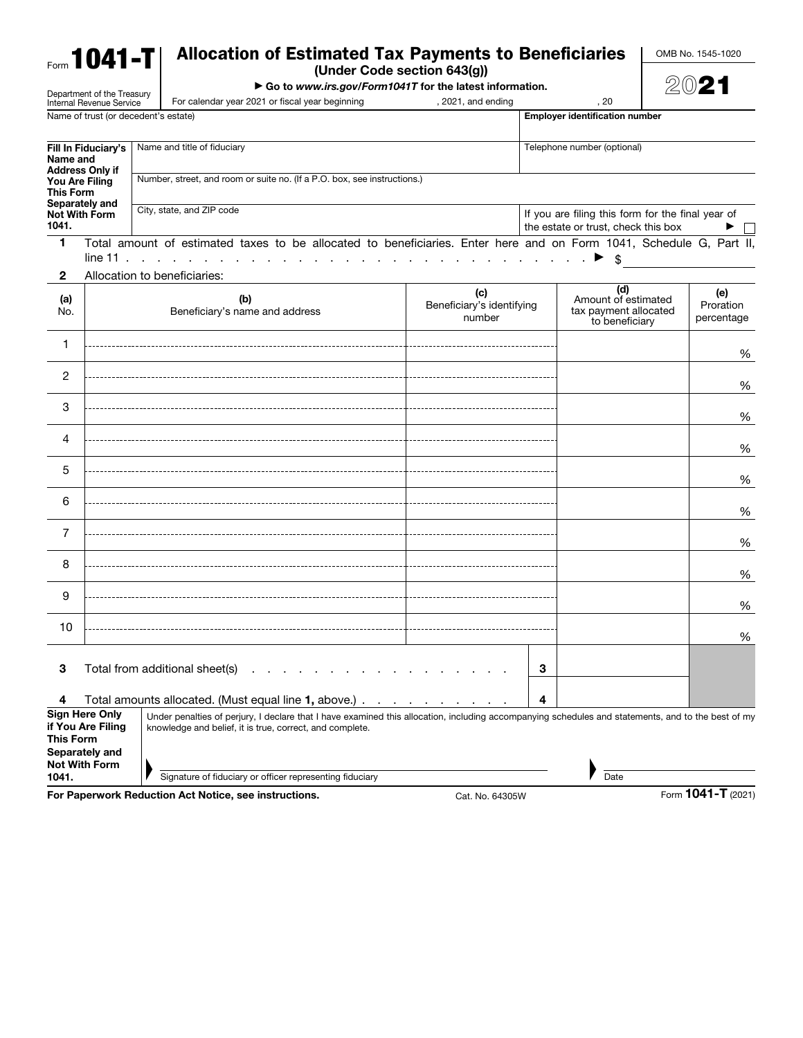| $F_{\rm{form}}$ 1041-T     | <b>Allocation of Estimated Tax Payments to Beneficiaries</b>             | OMB No. 1545-1020 |  |  |  |
|----------------------------|--------------------------------------------------------------------------|-------------------|--|--|--|
|                            | (Under Code section 643(g))                                              |                   |  |  |  |
| Donartmont of the Treasury | $\triangleright$ Go to www.irs.gov/Form1041T for the latest information. | 2021              |  |  |  |

2021

|                                                                                                                                                                                                                                                              | Department of the Treasury<br>Internal Revenue Service | For calendar year 2021 or fiscal year beginning                                                                     | , 2021, and ending                                                                       |   | , 20                                                                  | (5V) - 1                       |  |  |  |
|--------------------------------------------------------------------------------------------------------------------------------------------------------------------------------------------------------------------------------------------------------------|--------------------------------------------------------|---------------------------------------------------------------------------------------------------------------------|------------------------------------------------------------------------------------------|---|-----------------------------------------------------------------------|--------------------------------|--|--|--|
|                                                                                                                                                                                                                                                              |                                                        | Name of trust (or decedent's estate)                                                                                |                                                                                          |   | <b>Employer identification number</b>                                 |                                |  |  |  |
| Fill In Fiduciary's<br>Name and<br><b>Address Only if</b><br>You Are Filing<br><b>This Form</b>                                                                                                                                                              |                                                        | Name and title of fiduciary                                                                                         |                                                                                          |   | Telephone number (optional)                                           |                                |  |  |  |
|                                                                                                                                                                                                                                                              |                                                        | Number, street, and room or suite no. (If a P.O. box, see instructions.)                                            |                                                                                          |   |                                                                       |                                |  |  |  |
| 1041.                                                                                                                                                                                                                                                        | Separately and<br><b>Not With Form</b>                 | City, state, and ZIP code                                                                                           | If you are filing this form for the final year of<br>the estate or trust, check this box |   |                                                                       |                                |  |  |  |
| $\blacktriangleleft$                                                                                                                                                                                                                                         | line 11                                                | Total amount of estimated taxes to be allocated to beneficiaries. Enter here and on Form 1041, Schedule G, Part II, |                                                                                          |   |                                                                       |                                |  |  |  |
| $\mathbf{2}$                                                                                                                                                                                                                                                 |                                                        | Allocation to beneficiaries:                                                                                        |                                                                                          |   |                                                                       |                                |  |  |  |
| (a)<br>No.                                                                                                                                                                                                                                                   |                                                        | (b)<br>Beneficiary's name and address                                                                               | (c)<br>Beneficiary's identifying<br>number                                               |   | (d)<br>Amount of estimated<br>tax payment allocated<br>to beneficiary | (e)<br>Proration<br>percentage |  |  |  |
| 1                                                                                                                                                                                                                                                            |                                                        |                                                                                                                     |                                                                                          |   |                                                                       | %                              |  |  |  |
| 2                                                                                                                                                                                                                                                            |                                                        |                                                                                                                     |                                                                                          |   |                                                                       | %                              |  |  |  |
| 3                                                                                                                                                                                                                                                            |                                                        |                                                                                                                     |                                                                                          |   |                                                                       | %                              |  |  |  |
| 4                                                                                                                                                                                                                                                            |                                                        |                                                                                                                     |                                                                                          |   |                                                                       | %                              |  |  |  |
| 5                                                                                                                                                                                                                                                            |                                                        |                                                                                                                     |                                                                                          |   |                                                                       | %                              |  |  |  |
| 6                                                                                                                                                                                                                                                            |                                                        |                                                                                                                     |                                                                                          |   |                                                                       | %                              |  |  |  |
| 7                                                                                                                                                                                                                                                            |                                                        |                                                                                                                     |                                                                                          |   |                                                                       | %                              |  |  |  |
| 8                                                                                                                                                                                                                                                            |                                                        |                                                                                                                     |                                                                                          |   |                                                                       | %                              |  |  |  |
| 9                                                                                                                                                                                                                                                            |                                                        |                                                                                                                     |                                                                                          |   |                                                                       | %                              |  |  |  |
| 10                                                                                                                                                                                                                                                           |                                                        |                                                                                                                     |                                                                                          |   |                                                                       | %                              |  |  |  |
| З                                                                                                                                                                                                                                                            |                                                        | Total from additional sheet(s)<br>the contract of the contract of the                                               |                                                                                          | 3 |                                                                       |                                |  |  |  |
| 4                                                                                                                                                                                                                                                            |                                                        | Total amounts allocated. (Must equal line 1, above.)                                                                |                                                                                          | 4 |                                                                       |                                |  |  |  |
| <b>Sign Here Only</b><br>Under penalties of perjury, I declare that I have examined this allocation, including accompanying schedules and statements, and to the best of my<br>if You Are Filing<br>knowledge and belief, it is true, correct, and complete. |                                                        |                                                                                                                     |                                                                                          |   |                                                                       |                                |  |  |  |
| This Form                                                                                                                                                                                                                                                    | Separately and<br><b>Not With Form</b>                 |                                                                                                                     |                                                                                          |   |                                                                       |                                |  |  |  |
| 1041.                                                                                                                                                                                                                                                        |                                                        | Signature of fiduciary or officer representing fiduciary                                                            |                                                                                          |   | Date                                                                  |                                |  |  |  |
|                                                                                                                                                                                                                                                              |                                                        | For Paperwork Reduction Act Notice, see instructions.                                                               | Cat. No. 64305W                                                                          |   |                                                                       | Form 1041-T (2021)             |  |  |  |